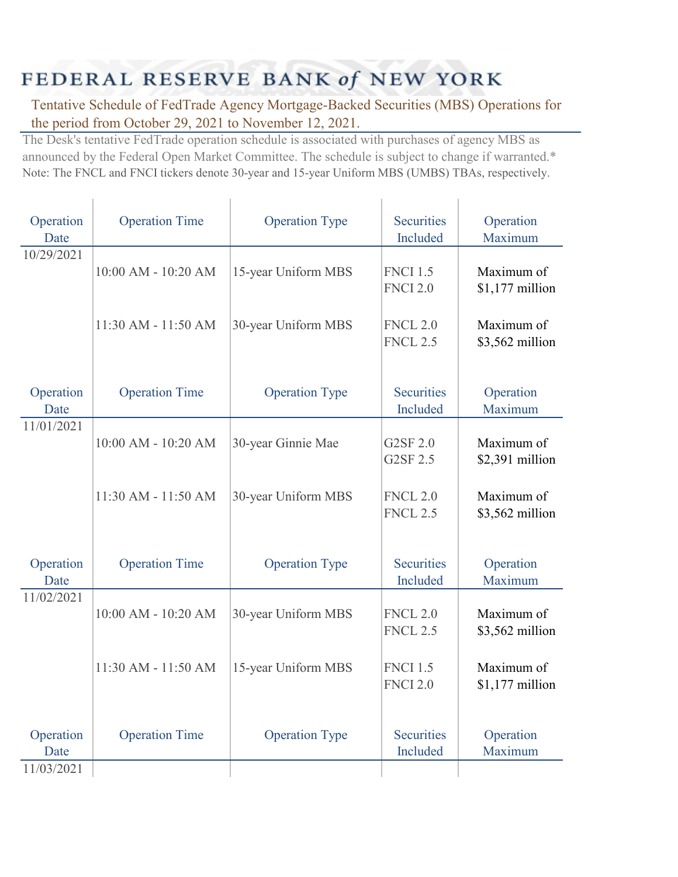## FEDERAL RESERVE BANK of NEW YORK

Y.

Î.

Tentative Schedule of FedTrade Agency Mortgage-Backed Securities (MBS) Operations for the period from October 29, 2021 to November 12, 2021.

The Desk's tentative FedTrade operation schedule is associated with purchases of agency MBS as announced by the Federal Open Market Committee. The schedule is subject to change if warranted.\* Note: The FNCL and FNCI tickers denote 30-year and 15-year Uniform MBS (UMBS) TBAs, respectively.

| Operation<br>Date               | <b>Operation Time</b> | <b>Operation Type</b> | <b>Securities</b><br>Included      | Operation<br>Maximum           |
|---------------------------------|-----------------------|-----------------------|------------------------------------|--------------------------------|
| 10/29/2021                      | 10:00 AM - 10:20 AM   | 15-year Uniform MBS   | <b>FNCI 1.5</b><br><b>FNCI 2.0</b> | Maximum of<br>$$1,177$ million |
|                                 | 11:30 AM - 11:50 AM   | 30-year Uniform MBS   | <b>FNCL 2.0</b><br><b>FNCL 2.5</b> | Maximum of<br>\$3,562 million  |
| Operation<br>Date               | <b>Operation Time</b> | <b>Operation Type</b> | <b>Securities</b><br>Included      | Operation<br>Maximum           |
| 11/01/2021                      | 10:00 AM - 10:20 AM   | 30-year Ginnie Mae    | G2SF 2.0<br>G2SF 2.5               | Maximum of<br>\$2,391 million  |
|                                 | 11:30 AM - 11:50 AM   | 30-year Uniform MBS   | <b>FNCL 2.0</b><br><b>FNCL 2.5</b> | Maximum of<br>\$3,562 million  |
| Operation<br>Date               | <b>Operation Time</b> | <b>Operation Type</b> | <b>Securities</b><br>Included      | Operation<br>Maximum           |
| 11/02/2021                      | 10:00 AM - 10:20 AM   | 30-year Uniform MBS   | <b>FNCL 2.0</b><br><b>FNCL 2.5</b> | Maximum of<br>\$3,562 million  |
|                                 | 11:30 AM - 11:50 AM   | 15-year Uniform MBS   | <b>FNCI 1.5</b><br><b>FNCI 2.0</b> | Maximum of<br>$$1,177$ million |
| Operation<br>Date<br>11/03/2021 | <b>Operation Time</b> | <b>Operation Type</b> | <b>Securities</b><br>Included      | Operation<br>Maximum           |
|                                 |                       |                       |                                    |                                |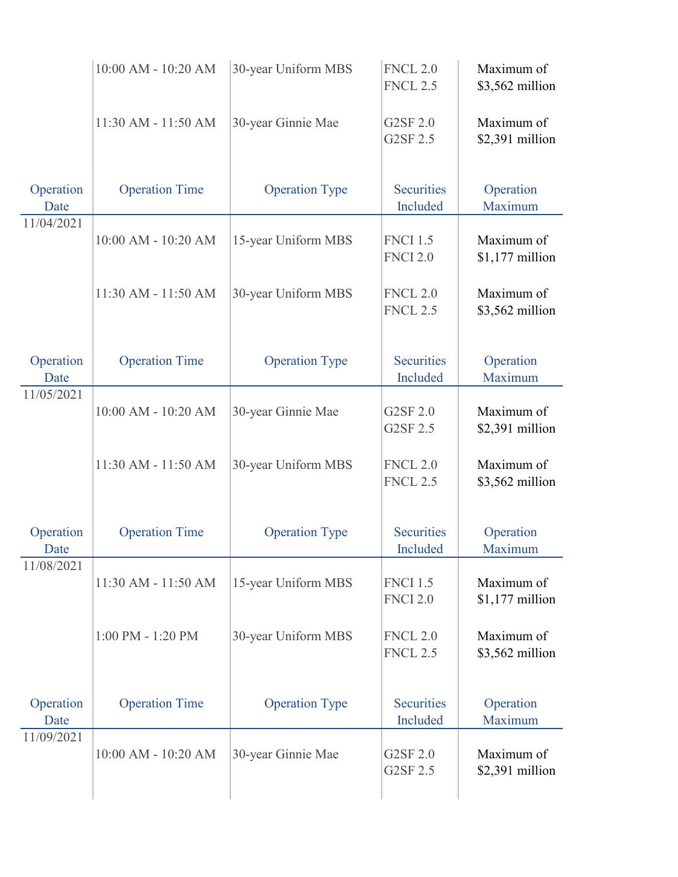|                   | 10:00 AM - 10:20 AM   | 30-year Uniform MBS   | <b>FNCL 2.0</b><br><b>FNCL 2.5</b> | Maximum of<br>\$3,562 million  |
|-------------------|-----------------------|-----------------------|------------------------------------|--------------------------------|
|                   | 11:30 AM - 11:50 AM   | 30-year Ginnie Mae    | G2SF 2.0<br>G2SF 2.5               | Maximum of<br>\$2,391 million  |
| Operation<br>Date | <b>Operation Time</b> | <b>Operation Type</b> | <b>Securities</b><br>Included      | Operation<br>Maximum           |
| 11/04/2021        | 10:00 AM - 10:20 AM   | 15-year Uniform MBS   | <b>FNCI 1.5</b><br><b>FNCI 2.0</b> | Maximum of<br>$$1,177$ million |
|                   | 11:30 AM - 11:50 AM   | 30-year Uniform MBS   | <b>FNCL 2.0</b><br><b>FNCL 2.5</b> | Maximum of<br>\$3,562 million  |
| Operation<br>Date | <b>Operation Time</b> | <b>Operation Type</b> | <b>Securities</b><br>Included      | Operation<br>Maximum           |
| 11/05/2021        | 10:00 AM - 10:20 AM   | 30-year Ginnie Mae    | G2SF 2.0<br>G2SF 2.5               | Maximum of<br>\$2,391 million  |
|                   | 11:30 AM - 11:50 AM   | 30-year Uniform MBS   | <b>FNCL 2.0</b><br><b>FNCL 2.5</b> | Maximum of<br>\$3,562 million  |
| Operation<br>Date | <b>Operation Time</b> | <b>Operation Type</b> | <b>Securities</b><br>Included      | Operation<br>Maximum           |
| 11/08/2021        | 11:30 AM - 11:50 AM   | 15-year Uniform MBS   | <b>FNCI 1.5</b><br><b>FNCI 2.0</b> | Maximum of<br>$$1,177$ million |
|                   | $1:00$ PM - $1:20$ PM | 30-year Uniform MBS   | <b>FNCL 2.0</b><br><b>FNCL 2.5</b> | Maximum of<br>\$3,562 million  |
| Operation<br>Date | <b>Operation Time</b> | <b>Operation Type</b> | <b>Securities</b><br>Included      | Operation<br>Maximum           |
| 11/09/2021        | 10:00 AM - 10:20 AM   | 30-year Ginnie Mae    | G2SF 2.0<br>G2SF 2.5               | Maximum of<br>\$2,391 million  |